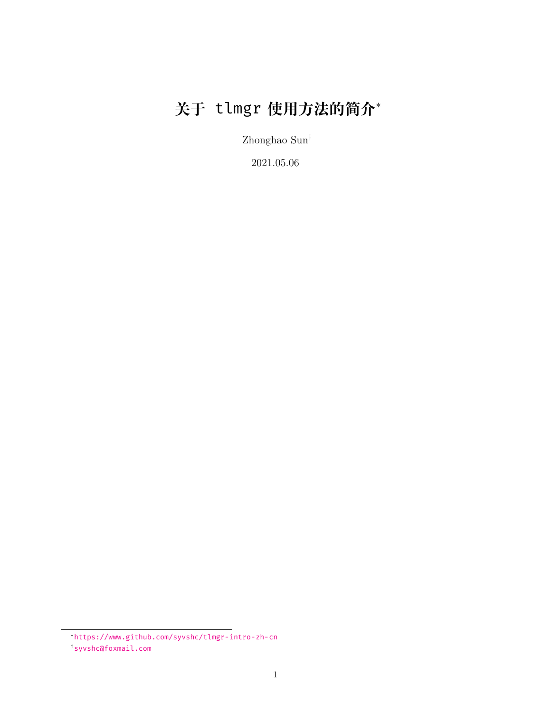# **关于** tlmgr **使用方法的简介**<sup>∗</sup>

Zhonghao Sun†

2021.05.06

<sup>∗</sup><https://www.github.com/syvshc/tlmgr-intro-zh-cn>

<sup>†</sup>[syvshc@foxmail.com](mailto:syvshc@foxmail.com)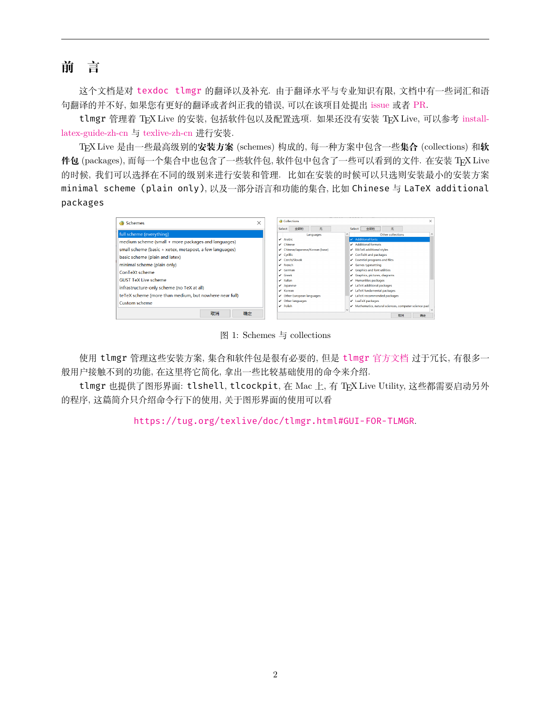<span id="page-1-0"></span>**前 言**

这个文档是对 [texdoc tlmgr](https://mirrors.ctan.org/info/tlmgrbasics/doc/tlmgr.pdf) 的翻译以及补充. 由于翻译水平与专业知识有限, 文档中有一些词汇和语 句翻译的并不好, 如果您有更好的翻译或者纠正我的错误, 可以在该项目处提出 [issue](https://github.com/syvshc/tlmgr-intro-zh-cn/issues) 或者 [PR.](https://github.com/syvshc/tlmgr-intro-zh-cn/pulls)

tlmgr 管理着 TFX Live 的安装, 包括软件包以及配置选项. 如果还没有安装 TFX Live, 可以参考 [install](https://mirrors.ctan.org/info/install-latex-guide-zh-cn/install-latex-guide-zh-cn.pdf)[latex-guide-zh-cn](https://mirrors.ctan.org/info/install-latex-guide-zh-cn/install-latex-guide-zh-cn.pdf) 与 [texlive-zh-cn](https://www.tug.org/texlive/doc/texlive-zh-cn/texlive-zh-cn.pdf) 进行安装.

TEX Live 是由一些最高级别的**安装方案** (schemes) 构成的, 每一种方案中包含一些**集合** (collections) 和**软 件包** (packages), 而每一个集合中也包含了一些软件包, 软件包中包含了一些可以看到的文件. 在安装 TEX Live 的时候, 我们可以选择在不同的级别来进行安装和管理. 比如在安装的时候可以只选则安装最小的安装方案 minimal scheme (plain only), 以及一部分语言和功能的集合, 比如 Chinese 与 LaTeX additional packages

| Schemes                                                 | $\times$ | <b>Gollections</b>                                        |                              |                                |  | $\times$                                                                       |
|---------------------------------------------------------|----------|-----------------------------------------------------------|------------------------------|--------------------------------|--|--------------------------------------------------------------------------------|
|                                                         |          | Select                                                    | 全部的                          | 无                              |  | 全部的<br>无<br>Select                                                             |
| full scheme (everything)                                |          |                                                           |                              | Languages                      |  | Other collections                                                              |
| medium scheme (small + more packages and languages)     |          | $\sqrt{A_{\text{radio}}}$<br>$\sqrt{\phantom{a}}$ Chinese |                              |                                |  | $\checkmark$ Additional fonts<br>Additional formats                            |
| small scheme (basic + xetex, metapost, a few languages) |          |                                                           |                              | Chinese/Japanese/Korean (base) |  | $\blacktriangleright$ BibTeX additional styles                                 |
| basic scheme (plain and latex)                          |          | $\checkmark$ Cyrillic                                     | ✔ Czech/Slovak               |                                |  | $\checkmark$ ConTeXt and packages<br>$\checkmark$ Essential programs and files |
| minimal scheme (plain only)                             |          | $\angle$ French                                           |                              |                                |  | $\checkmark$ Games typesetting                                                 |
| ConTeXt scheme                                          |          | $\checkmark$ German                                       |                              |                                |  | $\checkmark$ Graphics and font utilities                                       |
| <b>GUST TeX Live scheme</b>                             |          | $V$ Greek<br>$\checkmark$ Italian                         |                              |                                |  | $\checkmark$ Graphics, pictures, diagrams<br>$\checkmark$ Humanities packages  |
| infrastructure-only scheme (no TeX at all)              |          | $\checkmark$ Japanese                                     |                              |                                |  | $\checkmark$ LaTeX additional packages                                         |
| teTeX scheme (more than medium, but nowhere near full)  |          | $V$ Korean                                                | Other European languages     |                                |  | LaTeX fundamental packages<br>$\checkmark$ LaTeX recommended packages          |
| Custom scheme                                           |          |                                                           | $\checkmark$ Other languages |                                |  | $\nu$ LuaTeX packages                                                          |
|                                                         |          | $\vee$ Polish                                             |                              |                                |  | Mathematics, natural sciences, computer science pack                           |
| 取消<br>确定                                                |          |                                                           |                              |                                |  | 取消<br>确定                                                                       |

图 1: Schemes 与 collections

使用 tlmgr 管理这些安装方案, 集合和软件包是很有必要的, 但是 tlmgr [官方文档](https://www.tug.org/texlive/doc/tlmgr.html) 过于冗长, 有很多一 般用户接触不到的功能, 在这里将它简化, 拿出一些比较基础使用的命令来介绍.

tlmgr 也提供了图形界面: tlshell, tlcockpit, 在 Mac 上, 有 TEX Live Utility, 这些都需要启动另外 的程序, 这篇简介只介绍命令行下的使用, 关于图形界面的使用可以看

<https://tug.org/texlive/doc/tlmgr.html#GUI-FOR-TLMGR>.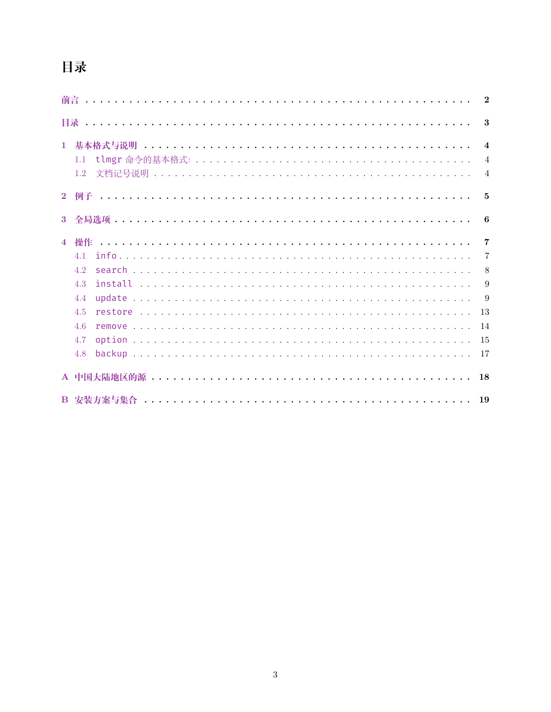# 目录

<span id="page-2-0"></span>

|                |     | $\overline{2}$          |
|----------------|-----|-------------------------|
|                |     | $\boldsymbol{\cdot}$    |
| $\mathbf{1}$   |     | $\overline{\mathbf{4}}$ |
|                | 1.1 | $\overline{4}$          |
|                | 1.2 | $\overline{4}$          |
|                |     | - 5                     |
| $\mathbf{3}$   |     | 6                       |
| $\overline{4}$ |     | $\overline{7}$          |
|                | 41  | -7                      |
|                | 4.2 | 8                       |
|                | 4.3 | 9                       |
|                | 4.4 | 9                       |
|                | 4.5 | 13                      |
|                | 4.6 | 14                      |
|                | 4.7 | -15                     |
|                | 4.8 |                         |
|                |     | 18                      |
|                |     | 19                      |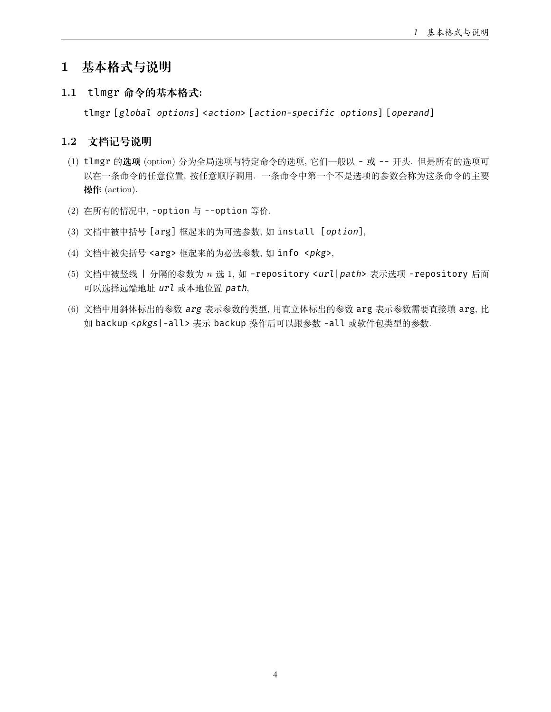# <span id="page-3-0"></span>**1 基本格式与说明**

<span id="page-3-1"></span>**1.1** tlmgr **命令的基本格式:**

tlmgr [*global options*] <*action*> [*action-specific options*] [*operand*]

# <span id="page-3-2"></span>**1.2 文档记号说明**

- (1) tlmgr 的**选项** (option) 分为全局选项与特定命令的选项, 它们一般以 或 -- 开头. 但是所有的选项可 以在一条命令的任意位置, 按任意顺序调用. 一条命令中第一个不是选项的参数会称为这条命令的主要 **操作** (action).
- (2) 在所有的情况中, -option 与 --option 等价.
- (3) 文档中被中括号 [arg] 框起来的为可选参数, 如 install [*option*],
- (4) 文档中被尖括号 <arg> 框起来的为必选参数, 如 info <*pkg*>,
- (5) 文档中被竖线 | 分隔的参数为 *n* 选 1, 如 -repository <*url*|*path*> 表示选项 -repository 后面 可以选择远端地址 *url* 或本地位置 *path*,
- (6) 文档中用斜体标出的参数 *arg* 表示参数的类型, 用直立体标出的参数 arg 表示参数需要直接填 arg, 比 如 backup <*pkgs*|-all> 表示 backup 操作后可以跟参数 -all 或软件包类型的参数.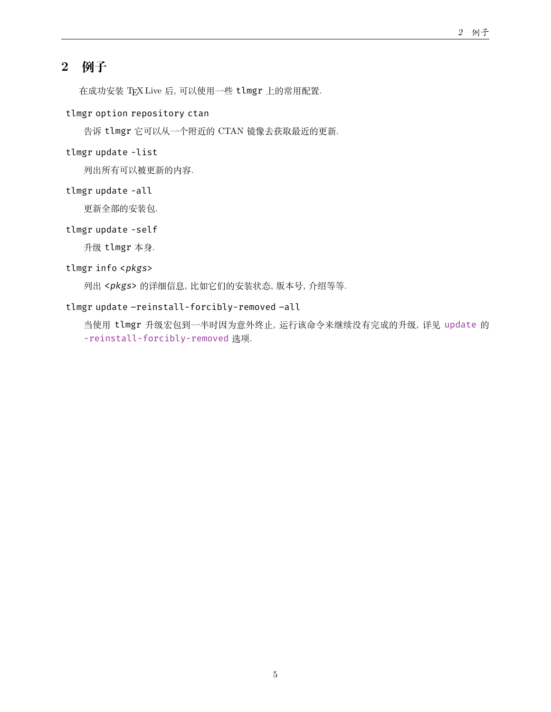# <span id="page-4-0"></span>**2 例子**

在成功安装 TEX Live 后, 可以使用一些 tlmgr 上的常用配置.

# tlmgr option repository ctan

告诉 tlmgr 它可以从一个附近的 CTAN 镜像去获取最近的更新.

## tlmgr update -list

列出所有可以被更新的内容.

# tlmgr update -all

更新全部的安装包.

# tlmgr update -self

升级 tlmgr 本身.

# tlmgr info <*pkgs*>

列出 <*pkgs*> 的详细信息, 比如它们的安装状态, 版本号, 介绍等等.

# tlmgr update –reinstall-forcibly-removed –all

当使用 tlmgr 升级宏包到一半时因为意外终止, 运行该命令来继续没有完成的升级, 详见 [update](#page-8-1) 的 [-reinstall-forcibly-removed](#page-10-0) 选项.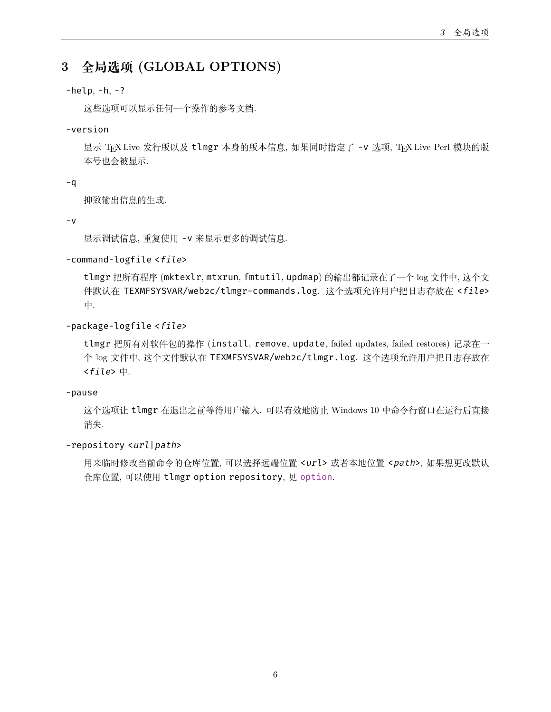# <span id="page-5-0"></span>**3 全局选项 (GLOBAL OPTIONS)**

# $-help, -h, -?$

这些选项可以显示任何一个操作的参考文档.

# -version

显示 TEX Live 发行版以及 tlmgr 本身的版本信息, 如果同时指定了 -v 选项, TEX Live Perl 模块的版 本号也会被显示.

# -q

抑致输出信息的生成.

# -v

显示调试信息, 重复使用 -v 来显示更多的调试信息.

# -command-logfile <*file*>

tlmgr 把所有程序 (mktexlr, mtxrun, fmtutil, updmap) 的输出都记录在了一个 log 文件中, 这个文 件默认在 TEXMFSYSVAR/web2c/tlmgr-commands.log. 这个选项允许用户把日志存放在 <*file*> 中.

# -package-logfile <*file*>

tlmgr 把所有对软件包的操作 (install, remove, update, failed updates, failed restores) 记录在一 个 log 文件中, 这个文件默认在 TEXMFSYSVAR/web2c/tlmgr.log. 这个选项允许用户把日志存放在 <*file*> 中.

# -pause

这个选项让 tlmgr 在退出之前等待用户输入. 可以有效地防止 Windows 10 中命令行窗口在运行后直接 消失.

# -repository <*url*|*path*>

用来临时修改当前命令的仓库位置, 可以选择远端位置 <*url*> 或者本地位置 <*path*>, 如果想更改默认 仓库位置, 可以使用 tlmgr option repository, 见 [option](#page-14-0).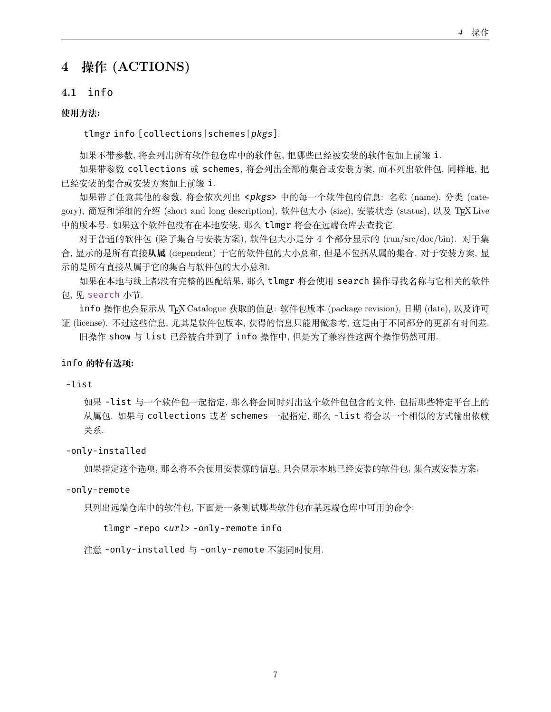# <span id="page-6-0"></span>**4 操作 (ACTIONS)**

# <span id="page-6-1"></span>**4.1** info

# **使用方法:**

tlmgr info [collections|schemes|*pkgs*].

如果不带参数, 将会列出所有软件包仓库中的软件包, 把哪些已经被安装的软件包加上前缀 i.

如果带参数 collections 或 schemes, 将会列出全部的集合或安装方案, 而不列出软件包, 同样地, 把 已经安装的集合或安装方案加上前缀 i.

如果带了任意其他的参数, 将会依次列出 <*pkgs*> 中的每一个软件包的信息: 名称 (name), 分类 (category), 简短和详细的介绍 (short and long description), 软件包大小 (size), 安装状态 (status), 以及 TEX Live 中的版本号. 如果这个软件包没有在本地安装, 那么 tlmgr 将会在远端仓库去查找它.

对于普通的软件包 (除了集合与安装方案), 软件包大小是分 4 个部分显示的 (run/src/doc/bin). 对于集 合, 显示的是所有直接**从属** (dependent) 于它的软件包的大小总和, 但是不包括从属的集合. 对于安装方案, 显 示的是所有直接从属于它的集合与软件包的大小总和.

如果在本地与线上都没有完整的匹配结果, 那么 tlmgr 将会使用 search 操作寻找名称与它相关的软件 包, 见 [search](#page-7-0) 小节.

info 操作也会显示从 TEX Catalogue 获取的信息: 软件包版本 (package revision), 日期 (date), 以及许可 证 (license). 不过这些信息, 尤其是软件包版本, 获得的信息只能用做参考, 这是由于不同部分的更新有时间差.

旧操作 show 与 list 已经被合并到了 info 操作中, 但是为了兼容性这两个操作仍然可用.

#### info **的特有选项:**

# -list

如果 -list 与一个软件包一起指定, 那么将会同时列出这个软件包包含的文件, 包括那些特定平台上的 从属包. 如果与 collections 或者 schemes 一起指定, 那么 -list 将会以一个相似的方式输出依赖 关系.

-only-installed

如果指定这个选项, 那么将不会使用安装源的信息, 只会显示本地已经安装的软件包, 集合或安装方案.

#### -only-remote

只列出远端仓库中的软件包, 下面是一条测试哪些软件包在某远端仓库中可用的命令:

#### tlmgr -repo <*url*> -only-remote info

注意 -only-installed 与 -only-remote 不能同时使用.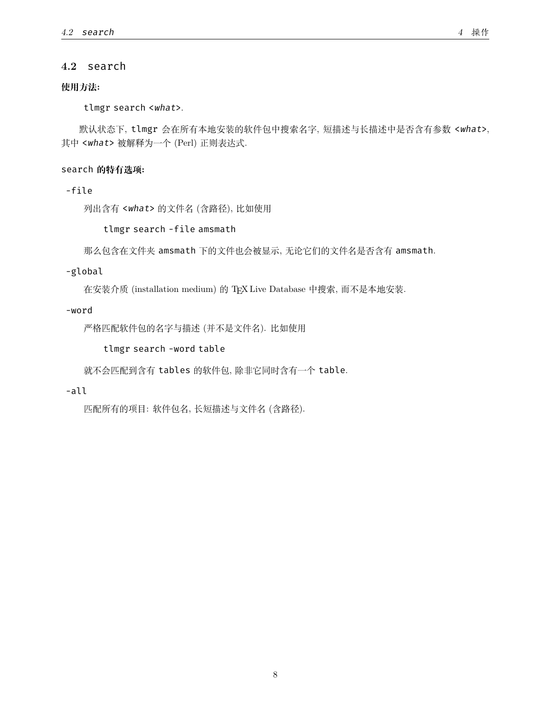### <span id="page-7-0"></span>**4.2** search

# **使用方法:**

tlmgr search <*what*>.

默认状态下, tlmgr 会在所有本地安装的软件包中搜索名字, 短描述与长描述中是否含有参数 <*what*>, 其中 <*what*> 被解释为一个 (Perl) 正则表达式.

### search **的特有选项:**

-file

列出含有 <*what*> 的文件名 (含路径), 比如使用

tlmgr search -file amsmath

那么包含在文件夹 amsmath 下的文件也会被显示, 无论它们的文件名是否含有 amsmath.

#### -global

在安装介质 (installation medium) 的 TEX Live Database 中搜索, 而不是本地安装.

#### -word

严格匹配软件包的名字与描述 (并不是文件名). 比如使用

tlmgr search -word table

就不会匹配到含有 tables 的软件包, 除非它同时含有一个 table.

# -all

匹配所有的项目: 软件包名, 长短描述与文件名 (含路径).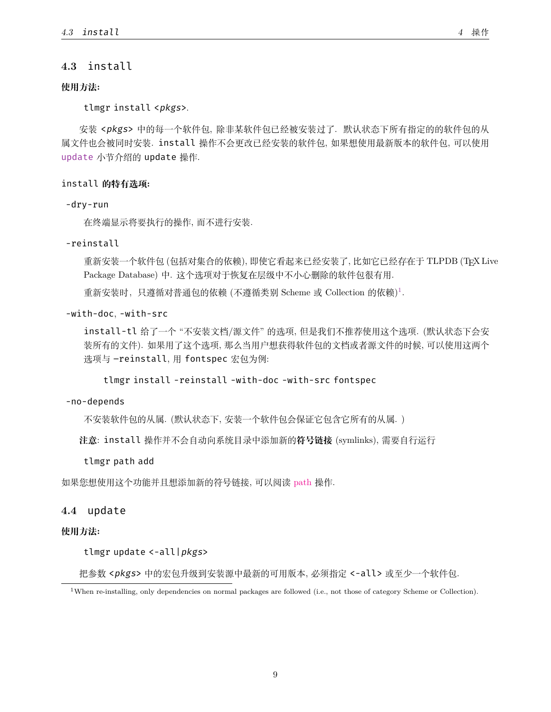# <span id="page-8-0"></span>**4.3** install

#### **使用方法:**

tlmgr install <*pkgs*>.

安装 <*pkgs*> 中的每一个软件包, 除非某软件包已经被安装过了. 默认状态下所有指定的的软件包的从 属文件也会被同时安装. install 操作不会更改已经安装的软件包, 如果想使用最新版本的软件包, 可以使用 [update](#page-8-1) 小节介绍的 update 操作.

#### install **的特有选项:**

#### -dry-run

在终端显示将要执行的操作, 而不进行安装.

#### -reinstall

重新安装一个软件包 (包括对集合的依赖), 即使它看起来已经安装了, 比如它已经存在于 TLPDB (TEX Live Package Database) 中. 这个选项对于恢复在层级中不小心删除的软件包很有用.

重新安装时,只遵循对普通包的依赖 (不遵循类别 Scheme 或 Collection 的依赖) [1](#page-8-2) .

# -with-doc, -with-src

install-tl 给了一个 "不安装文档/源文件" 的选项, 但是我们不推荐使用这个选项. (默认状态下会安 装所有的文件). 如果用了这个选项, 那么当用户想获得软件包的文档或者源文件的时候, 可以使用这两个 选项与 –reinstall, 用 fontspec 宏包为例:

tlmgr install -reinstall -with-doc -with-src fontspec

#### -no-depends

不安装软件包的从属. (默认状态下, 安装一个软件包会保证它包含它所有的从属. )

**注意**: install 操作并不会自动向系统目录中添加新的**符号链接** (symlinks), 需要自行运行

#### tlmgr path add

如果您想使用这个功能并且想添加新的符号链接, 可以阅读 [path](https://www.tug.org/texlive/doc/tlmgr.html#path) 操作.

# <span id="page-8-1"></span>**4.4** update

#### **使用方法:**

tlmgr update <-all|*pkgs*>

把参数 <*pkgs*> 中的宏包升级到安装源中最新的可用版本, 必须指定 <-all> 或至少一个软件包.

<span id="page-8-2"></span><sup>1</sup>When re-installing, only dependencies on normal packages are followed (i.e., not those of category Scheme or Collection).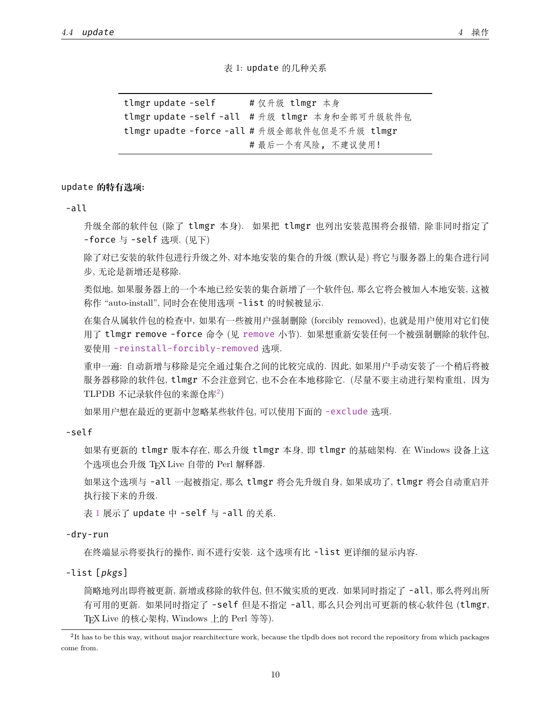表 1: update 的几种关系

<span id="page-9-1"></span>tlmgr update -self # 仅升级 tlmgr 本身 tlmgr update -self -all # 升级 tlmgr 本身和全部可升级软件包 tlmgr upadte -force -all # 升级全部软件包但是不升级 tlmgr # 最后一个有风险, 不建议使用!

#### update **的特有选项:**

-all

升级全部的软件包 (除了 tlmgr 本身). 如果把 tlmgr 也列出安装范围将会报错, 除非同时指定了 -force 与 -self 选项. (见下)

除了对已安装的软件包进行升级之外, 对本地安装的集合的升级 (默认是) 将它与服务器上的集合进行同 步, 无论是新增还是移除.

类似地, 如果服务器上的一个本地已经安装的集合新增了一个软件包, 那么它将会被加入本地安装, 这被 称作 "auto-install", 同时会在使用选项 -list 的时候被显示.

在集合从属软件包的检查中, 如果有一些被用户强制删除 (forcibly removed), 也就是用户使用对它们使 用了 tlmgr [remove](#page-13-0) -force 命令 (见 remove 小节). 如果想重新安装任何一个被强制删除的软件包, 要使用 [-reinstall-forcibly-removed](#page-10-0) 选项.

重申一遍: 自动新增与移除是完全通过集合之间的比较完成的. 因此, 如果用户手动安装了一个稍后将被 服务器移除的软件包, tlmgr 不会注意到它, 也不会在本地移除它. (尽量不要主动进行架构重组, 因为 TLPDB 不记录软件包的来源仓库<sup>[2](#page-9-0)</sup>)

如果用户想在最近的更新中忽略某些软件包, 可以使用下面的 [-exclude](#page-10-1) 选项.

-self

如果有更新的 tlmgr 版本存在, 那么升级 tlmgr 本身, 即 tlmgr 的基础架构. 在 Windows 设备上这 个选项也会升级 TEX Live 自带的 Perl 解释器.

如果这个选项与 -all 一起被指定, 那么 tlmgr 将会先升级自身, 如果成功了, tlmgr 将会自动重启并 执行接下来的升级.

表 [1](#page-9-1) 展示了 update 中 -self 与 -all 的关系.

-dry-run

在终端显示将要执行的操作, 而不进行安装. 这个选项有比 -list 更详细的显示内容.

-list [*pkgs*]

简略地列出即将被更新, 新增或移除的软件包, 但不做实质的更改. 如果同时指定了 -all, 那么将列出所 有可用的更新. 如果同时指定了 -self 但是不指定 -all, 那么只会列出可更新的核心软件包 (tlmgr, TEX Live 的核心架构, Windows 上的 Perl 等等).

<span id="page-9-0"></span><sup>&</sup>lt;sup>2</sup>It has to be this way, without major rearchitecture work, because the tlpdb does not record the repository from which packages come from.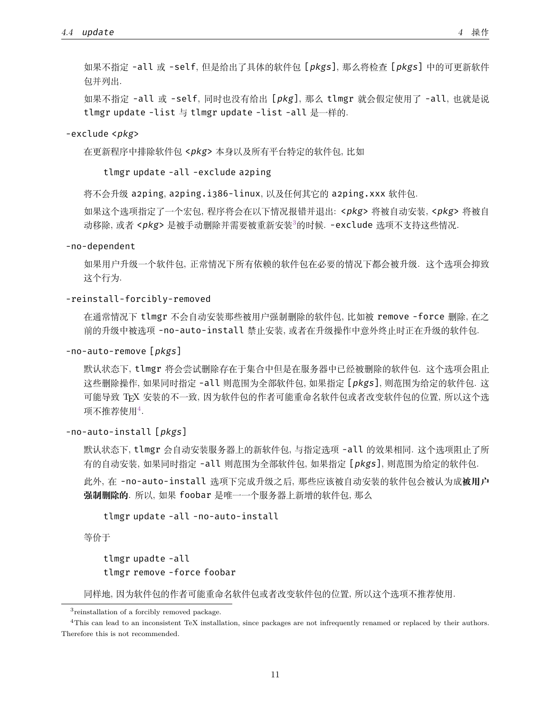如果不指定 -all 或 -self, 同时也没有给出 [*pkg*], 那么 tlmgr 就会假定使用了 -all, 也就是说 tlmgr update -list 与 tlmgr update -list -all 是一样的.

#### <span id="page-10-1"></span>-exclude <*pkg*>

包并列出.

在更新程序中排除软件包 <*pkg*> 本身以及所有平台特定的软件包, 比如

tlmgr update -all -exclude a2ping

将不会升级 a2ping, a2ping.i386-linux, 以及任何其它的 a2ping.xxx 软件包.

如果这个选项指定了一个宏包, 程序将会在以下情况报错并退出: <*pkg*> 将被自动安装, <*pkg*> 将被自 动移除, 或者 <*pkg*> 是被手动删除并需要被重新安装[3](#page-10-2)的时候. -exclude 选项不支持这些情况.

-no-dependent

如果用户升级一个软件包, 正常情况下所有依赖的软件包在必要的情况下都会被升级. 这个选项会抑致 这个行为.

#### <span id="page-10-0"></span>-reinstall-forcibly-removed

在通常情况下 tlmgr 不会自动安装那些被用户强制删除的软件包, 比如被 remove -force 删除, 在之 前的升级中被选项 -no-auto-install 禁止安装, 或者在升级操作中意外终止时正在升级的软件包.

-no-auto-remove [*pkgs*]

默认状态下, tlmgr 将会尝试删除存在于集合中但是在服务器中已经被删除的软件包. 这个选项会阻止 这些删除操作, 如果同时指定 -all 则范围为全部软件包, 如果指定 [*pkgs*], 则范围为给定的软件包. 这 可能导致 TEX 安装的不一致, 因为软件包的作者可能重命名软件包或者改变软件包的位置, 所以这个选 项不推荐使用[4](#page-10-3) .

```
-no-auto-install [pkgs]
```
默认状态下, tlmgr 会自动安装服务器上的新软件包, 与指定选项 -all 的效果相同. 这个选项阻止了所 有的自动安装, 如果同时指定 -all 则范围为全部软件包, 如果指定 [*pkgs*], 则范围为给定的软件包. 此外, 在 -no-auto-install 选项下完成升级之后, 那些应该被自动安装的软件包会被认为成**被用户 强制删除的**. 所以, 如果 foobar 是唯一一个服务器上新增的软件包, 那么

```
tlmgr update -all -no-auto-install
```
等价于

```
tlmgr upadte -all
tlmgr remove -force foobar
```
同样地, 因为软件包的作者可能重命名软件包或者改变软件包的位置, 所以这个选项不推荐使用.

<span id="page-10-3"></span><span id="page-10-2"></span><sup>3</sup> reinstallation of a forcibly removed package.

<sup>4</sup>This can lead to an inconsistent TeX installation, since packages are not infrequently renamed or replaced by their authors. Therefore this is not recommended.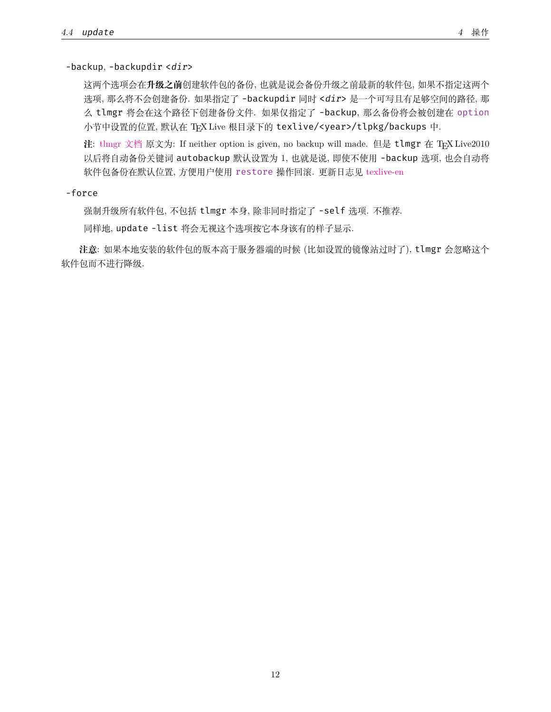<span id="page-11-0"></span>-backup, -backupdir <*dir*>

这两个选项会在**升级之前**创建软件包的备份, 也就是说会备份升级之前最新的软件包, 如果不指定这两个 选项, 那么将不会创建备份. 如果指定了 -backupdir 同时 <*dir*> 是一个可写且有足够空间的路径, 那 么 tlmgr 将会在这个路径下创建备份文件. 如果仅指定了 -backup, 那么备份将会被创建在 [option](#page-14-0) 小节中设置的位置, 默认在 TEX Live 根目录下的 texlive/<year>/tlpkg/backups 中.

**注**: [tlmgr](https://www.tug.org/texlive/doc/tlmgr.html#update-option...-pkg) 文档 原文为: If neither option is given, no backup will made. 但是 tlmgr 在 TFX Live2010 以后将自动备份关键词 autobackup 默认设置为 1, 也就是说, 即使不使用 -backup 选项, 也会自动将 软件包备份在默认位置, 方便用户使用 [restore](#page-12-0) 操作回滚. 更新日志见 [texlive-en](https://www.tug.org/texlive/doc/texlive-en/texlive-en.html#x1-780009.1.7)

-force

强制升级所有软件包, 不包括 tlmgr 本身, 除非同时指定了 -self 选项. 不推荐.

同样地, update -list 将会无视这个选项按它本身该有的样子显示.

**注意**: 如果本地安装的软件包的版本高于服务器端的时候 (比如设置的镜像站过时了), tlmgr 会忽略这个 软件包而不进行降级.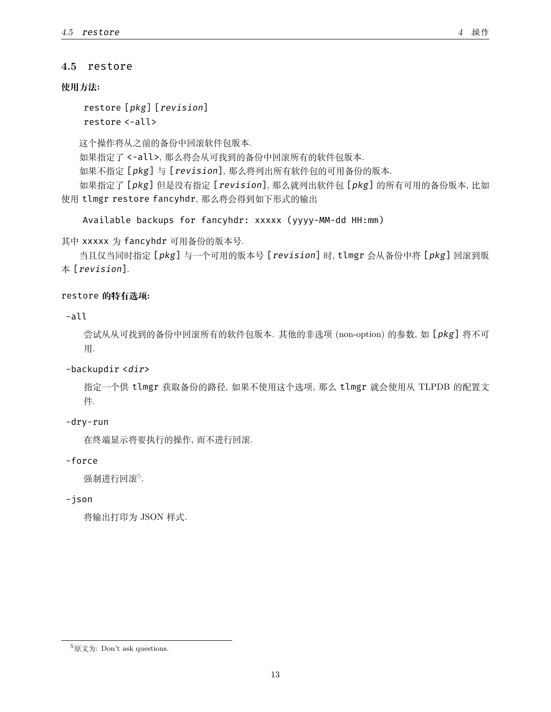# <span id="page-12-0"></span>**4.5** restore

# **使用方法:**

```
restore [pkg] [revision]
restore <-all>
```
这个操作将从之前的备份中回滚软件包版本. 如果指定了 <-all>, 那么将会从可找到的备份中回滚所有的软件包版本. 如果不指定 [*pkg*] 与 [*revision*], 那么将列出所有软件包的可用备份的版本. 如果指定了 [*pkg*] 但是没有指定 [*revision*], 那么就列出软件包 [*pkg*] 的所有可用的备份版本, 比如 使用 tlmgr restore fancyhdr, 那么将会得到如下形式的输出

Available backups for fancyhdr: xxxxx (yyyy-MM-dd HH:mm)

其中 xxxxx 为 fancyhdr 可用备份的版本号.

当且仅当同时指定 [*pkg*] 与一个可用的版本号 [*revision*] 时, tlmgr 会从备份中将 [*pkg*] 回滚到版 本 [*revision*].

# restore **的特有选项:**

-all

尝试从从可找到的备份中回滚所有的软件包版本. 其他的非选项 (non-option) 的参数, 如 [*pkg*] 将不可 用.

# -backupdir <*dir*>

指定一个供 tlmgr 获取备份的路径, 如果不使用这个选项, 那么 tlmgr 就会使用从 TLPDB 的配置文 件.

# -dry-run

在终端显示将要执行的操作, 而不进行回滚.

# -force

强制进行回滚[5](#page-12-1).

# -json

将输出打印为 JSON 样式.

<span id="page-12-1"></span> $5$ 原文为: Don't ask questions.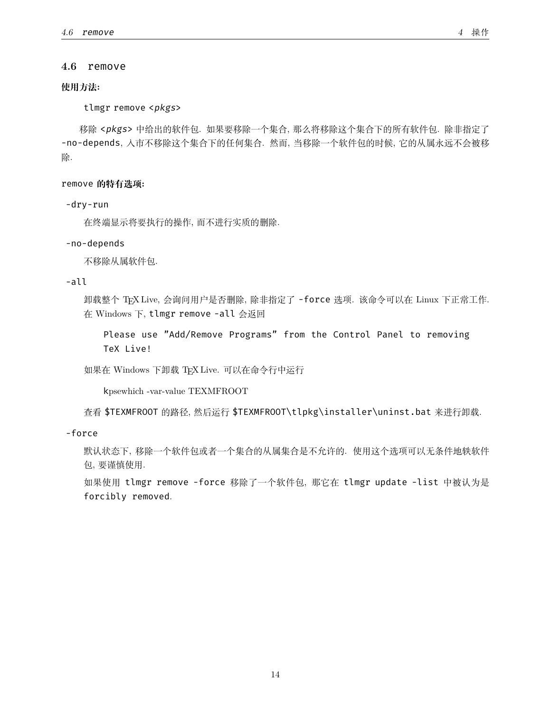#### <span id="page-13-0"></span>**4.6** remove

# **使用方法:**

tlmgr remove <*pkgs*>

移除 <*pkgs*> 中给出的软件包. 如果要移除一个集合, 那么将移除这个集合下的所有软件包. 除非指定了 -no-depends, 入市不移除这个集合下的任何集合. 然而, 当移除一个软件包的时候, 它的从属永远不会被移 除.

remove **的特有选项:**

-dry-run

在终端显示将要执行的操作, 而不进行实质的删除.

#### -no-depends

不移除从属软件包.

-all

卸载整个 TEX Live, 会询问用户是否删除, 除非指定了 -force 选项. 该命令可以在 Linux 下正常工作. 在 Windows 下, tlmgr remove -all 会返回

Please use "Add/Remove Programs" from the Control Panel to removing TeX Live!

如果在 Windows 下卸载 TEX Live. 可以在命令行中运行

kpsewhich -var-value TEXMFROOT

查看 \$TEXMFROOT 的路径, 然后运行 \$TEXMFROOT\tlpkg\installer\uninst.bat 来进行卸载.

-force

默认状态下, 移除一个软件包或者一个集合的从属集合是不允许的. 使用这个选项可以无条件地轶软件 包, 要谨慎使用.

如果使用 tlmgr remove -force 移除了一个软件包, 那它在 tlmgr update -list 中被认为是 forcibly removed.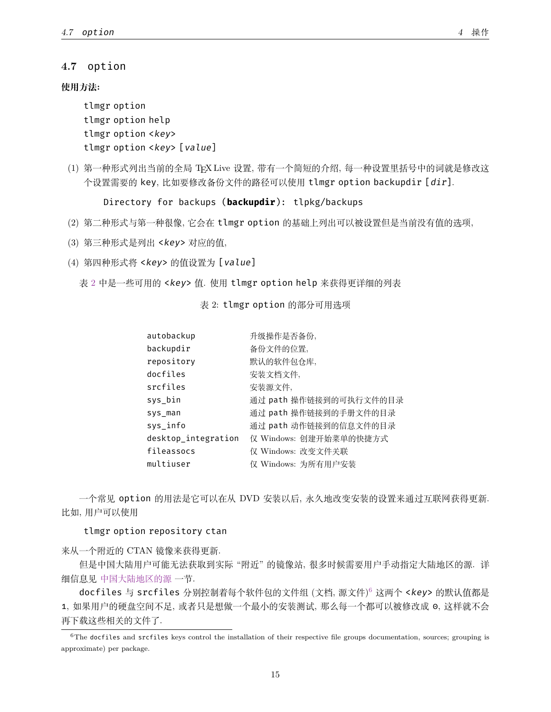# <span id="page-14-0"></span>**4.7** option

#### **使用方法:**

tlmgr option tlmgr option help tlmgr option <*key*> tlmgr option <*key*> [*value*]

(1) 第一种形式列出当前的全局 TEX Live 设置, 带有一个简短的介绍, 每一种设置里括号中的词就是修改这 个设置需要的 key, 比如要修改备份文件的路径可以使用 tlmgr option backupdir [*dir*].

Directory for backups (**backupdir**): tlpkg/backups

- (2) 第二种形式与第一种很像, 它会在 tlmgr option 的基础上列出可以被设置但是当前没有值的选项,
- (3) 第三种形式是列出 <*key*> 对应的值,
- (4) 第四种形式将 <*key*> 的值设置为 [*value*]

<span id="page-14-1"></span>表 [2](#page-14-1) 中是一些可用的 <*key*> 值. 使用 tlmgr option help 来获得更详细的列表

表 2: tlmgr option 的部分可用选项

| autobackup          | 升级操作是否备份,              |
|---------------------|------------------------|
| backupdir           | 备份文件的位置,               |
| repository          | 默认的软件包仓库,              |
| docfiles            | 安装文档文件,                |
| srcfiles            | 安装源文件,                 |
| sys_bin             | 通过 path 操作链接到的可执行文件的目录 |
| sys man             | 通过 path 操作链接到的手册文件的目录  |
| sys_info            | 通过 path 动作链接到的信息文件的目录  |
| desktop_integration | 仅 Windows: 创建开始菜单的快捷方式 |
| fileassocs          | 仅 Windows: 改变文件关联      |
| multiuser           | 仅 Windows: 为所有用户安装     |

一个常见 option 的用法是它可以在从 DVD 安装以后, 永久地改变安装的设置来通过互联网获得更新. 比如, 用户可以使用

tlmgr option repository ctan

来从一个附近的 CTAN 镜像来获得更新.

但是中国大陆用户可能无法获取到实际 "附近" 的镜像站, 很多时候需要用户手动指定大陆地区的源. 详 细信息见 [中国大陆地区的源](#page-17-0) 一节.

docfiles 与 srcfiles 分别控制着每个软件包的文件组 (文档, 源文件) [6](#page-14-2) 这两个 <*key*> 的默认值都是 1, 如果用户的硬盘空间不足, 或者只是想做一个最小的安装测试, 那么每一个都可以被修改成 0, 这样就不会 再下载这些相关的文件了.

<span id="page-14-2"></span> $6$ The docfiles and srcfiles keys control the installation of their respective file groups documentation, sources; grouping is approximate) per package.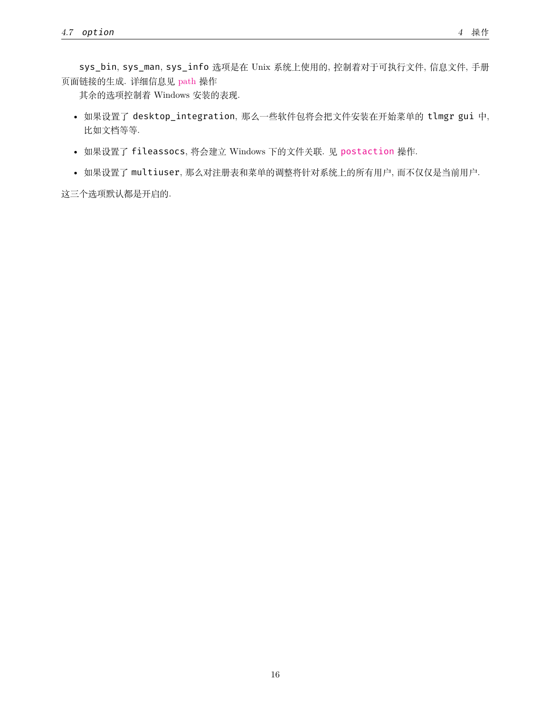sys\_bin, sys\_man, sys\_info 选项是在 Unix 系统上使用的, 控制着对于可执行文件, 信息文件, 手册 页面链接的生成. 详细信息见 [path](https://www.tug.org/texlive/doc/tlmgr.html#path) 操作

其余的选项控制着 Windows 安装的表现.

- 如果设置了 desktop\_integration, 那么一些软件包将会把文件安装在开始菜单的 tlmgr gui 中, 比如文档等等.
- 如果设置了 fileassocs, 将会建立 Windows 下的文件关联. 见 [postaction](https://www.tug.org/texlive/doc/tlmgr.html#postaction) 操作.
- 如果设置了 multiuser, 那么对注册表和菜单的调整将针对系统上的所有用户, 而不仅仅是当前用户.

这三个选项默认都是开启的.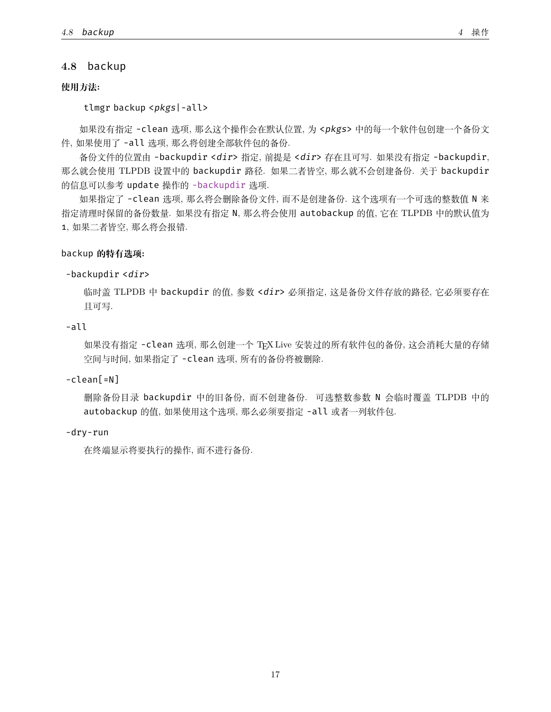# <span id="page-16-0"></span>**4.8** backup

# **使用方法:**

tlmgr backup <*pkgs*|-all>

如果没有指定 -clean 选项, 那么这个操作会在默认位置, 为 <*pkgs*> 中的每一个软件包创建一个备份文 件, 如果使用了 -all 选项, 那么将创建全部软件包的备份.

备份文件的位置由 -backupdir <*dir*> 指定, 前提是 <*dir*> 存在且可写. 如果没有指定 -backupdir, 那么就会使用 TLPDB 设置中的 backupdir 路径. 如果二者皆空, 那么就不会创建备份. 关于 backupdir 的信息可以参考 update 操作的 [-backupdir](#page-11-0) 选项.

如果指定了 -clean 选项, 那么将会删除备份文件, 而不是创建备份. 这个选项有一个可选的整数值 N 来 指定清理时保留的备份数量. 如果没有指定 N, 那么将会使用 autobackup 的值, 它在 TLPDB 中的默认值为 1, 如果二者皆空, 那么将会报错.

### backup **的特有选项:**

#### -backupdir <*dir*>

临时盖 TLPDB 中 backupdir 的值, 参数 <*dir*> 必须指定, 这是备份文件存放的路径, 它必须要存在 且可写.

# -all

如果没有指定 -clean 选项, 那么创建一个 TEX Live 安装过的所有软件包的备份, 这会消耗大量的存储 空间与时间, 如果指定了 -clean 选项, 所有的备份将被删除.

#### -clean[=N]

删除备份目录 backupdir 中的旧备份, 而不创建备份. 可选整数参数 N 会临时覆盖 TLPDB 中的 autobackup 的值, 如果使用这个选项, 那么必须要指定 -all 或者一列软件包.

#### -dry-run

在终端显示将要执行的操作, 而不进行备份.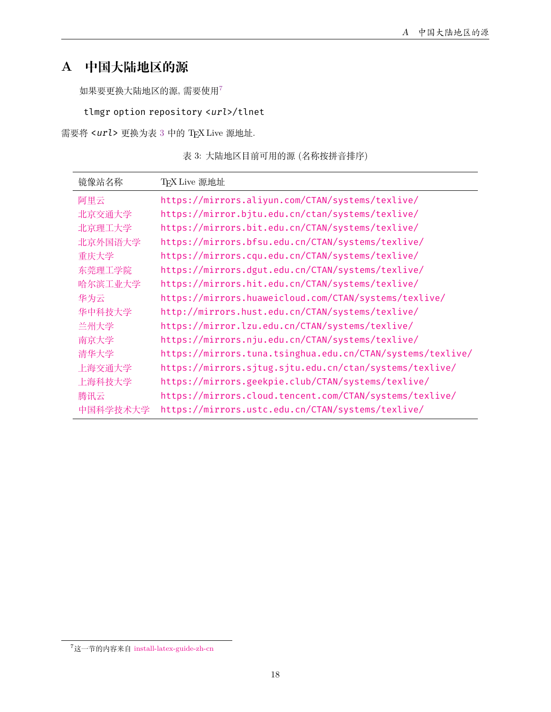# <span id="page-17-0"></span>**A 中国大陆地区的源**

如果要更换大陆地区的源, 需要使用[7](#page-17-1)

```
tlmgr option repository <url>/tlnet
```
<span id="page-17-2"></span>需要将 <*url*> 更换为表 [3](#page-17-2) 中的 TEX Live 源地址.

表 3: 大陆地区目前可用的源 (名称按拼音排序)

| 镜像站名称    | TFX Live 源地址                                               |
|----------|------------------------------------------------------------|
| 阿里云      | https://mirrors.aliyun.com/CTAN/systems/texlive/           |
| 北京交通大学   | https://mirror.bjtu.edu.cn/ctan/systems/texlive/           |
| 北京理工大学   | https://mirrors.bit.edu.cn/CTAN/systems/texlive/           |
| 北京外国语大学  | https://mirrors.bfsu.edu.cn/CTAN/systems/texlive/          |
| 重庆大学     | https://mirrors.cqu.edu.cn/CTAN/systems/texlive/           |
| 东莞理工学院   | https://mirrors.dgut.edu.cn/CTAN/systems/texlive/          |
| 哈尔滨工业大学  | https://mirrors.hit.edu.cn/CTAN/systems/texlive/           |
| 华为云      | https://mirrors.huaweicloud.com/CTAN/systems/texlive/      |
| 华中科技大学   | http://mirrors.hust.edu.cn/CTAN/systems/texlive/           |
| 兰州大学     | https://mirror.lzu.edu.cn/CTAN/systems/texlive/            |
| 南京大学     | https://mirrors.nju.edu.cn/CTAN/systems/texlive/           |
| 清华大学     | https://mirrors.tuna.tsinghua.edu.cn/CTAN/systems/texlive/ |
| 上海交通大学   | https://mirrors.sjtug.sjtu.edu.cn/ctan/systems/texlive/    |
| 上海科技大学   | https://mirrors.geekpie.club/CTAN/systems/texlive/         |
| 腾讯云      | https://mirrors.cloud.tencent.com/CTAN/systems/texlive/    |
| 中国科学技术大学 | https://mirrors.ustc.edu.cn/CTAN/systems/texlive/          |

<span id="page-17-1"></span><sup>7</sup>这一节的内容来自 [install-latex-guide-zh-cn](https://www.tug.org/texlive/doc/texlive-zh-cn/texlive-zh-cn.pdf)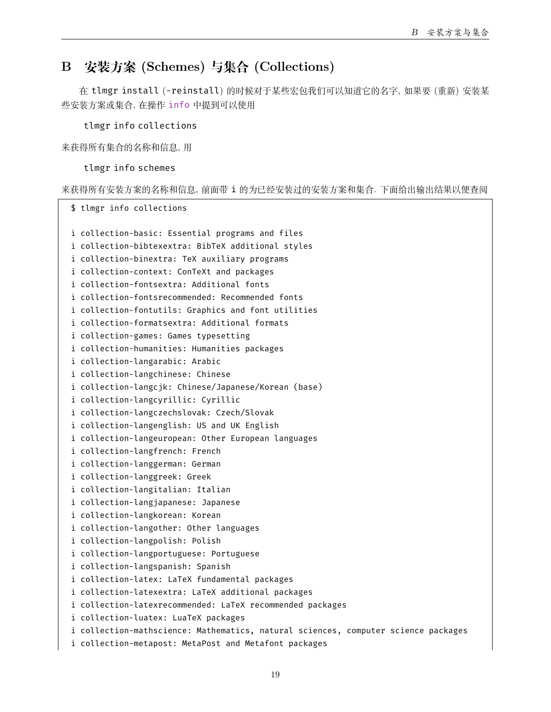# <span id="page-18-0"></span>**B 安装方案 (Schemes) 与集合 (Collections)**

在 tlmgr install (-reinstall) 的时候对于某些宏包我们可以知道它的名字, 如果要 (重新) 安装某 些安装方案或集合, 在操作 [info](#page-6-1) 中提到可以使用

tlmgr info collections

来获得所有集合的名称和信息, 用

tlmgr info schemes

来获得所有安装方案的名称和信息, 前面带 i 的为已经安装过的安装方案和集合. 下面给出输出结果以便查阅

\$ tlmgr info collections i collection-basic: Essential programs and files i collection-bibtexextra: BibTeX additional styles i collection-binextra: TeX auxiliary programs i collection-context: ConTeXt and packages i collection-fontsextra: Additional fonts i collection-fontsrecommended: Recommended fonts i collection-fontutils: Graphics and font utilities i collection-formatsextra: Additional formats i collection-games: Games typesetting i collection-humanities: Humanities packages i collection-langarabic: Arabic i collection-langchinese: Chinese i collection-langcjk: Chinese/Japanese/Korean (base) i collection-langcyrillic: Cyrillic i collection-langczechslovak: Czech/Slovak i collection-langenglish: US and UK English i collection-langeuropean: Other European languages i collection-langfrench: French i collection-langgerman: German i collection-langgreek: Greek i collection-langitalian: Italian i collection-langjapanese: Japanese i collection-langkorean: Korean i collection-langother: Other languages i collection-langpolish: Polish i collection-langportuguese: Portuguese i collection-langspanish: Spanish i collection-latex: LaTeX fundamental packages i collection-latexextra: LaTeX additional packages i collection-latexrecommended: LaTeX recommended packages i collection-luatex: LuaTeX packages i collection-mathscience: Mathematics, natural sciences, computer science packages i collection-metapost: MetaPost and Metafont packages